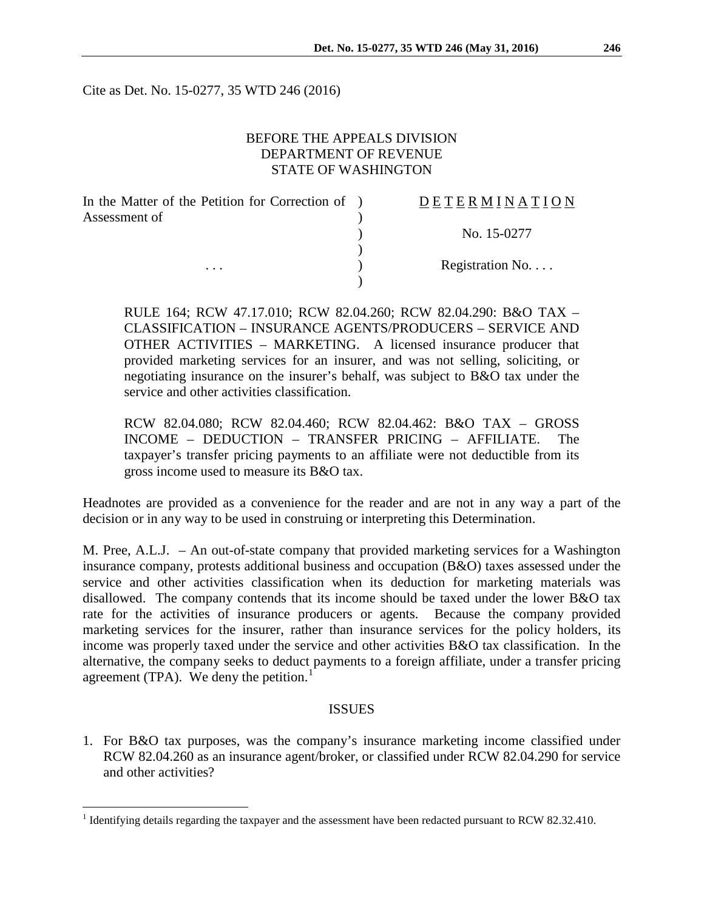Cite as Det. No. 15-0277, 35 WTD 246 (2016)

# BEFORE THE APPEALS DIVISION DEPARTMENT OF REVENUE STATE OF WASHINGTON

| In the Matter of the Petition for Correction of ) | DETERMINATION    |
|---------------------------------------------------|------------------|
| Assessment of                                     |                  |
|                                                   | No. 15-0277      |
|                                                   |                  |
| $\cdots$                                          | Registration No. |
|                                                   |                  |

RULE 164; RCW 47.17.010; RCW 82.04.260; RCW 82.04.290: B&O TAX – CLASSIFICATION – INSURANCE AGENTS/PRODUCERS – SERVICE AND OTHER ACTIVITIES – MARKETING. A licensed insurance producer that provided marketing services for an insurer, and was not selling, soliciting, or negotiating insurance on the insurer's behalf, was subject to B&O tax under the service and other activities classification.

RCW 82.04.080; RCW 82.04.460; RCW 82.04.462: B&O TAX – GROSS INCOME – DEDUCTION – TRANSFER PRICING – AFFILIATE. The taxpayer's transfer pricing payments to an affiliate were not deductible from its gross income used to measure its B&O tax.

Headnotes are provided as a convenience for the reader and are not in any way a part of the decision or in any way to be used in construing or interpreting this Determination.

M. Pree, A.L.J. – An out-of-state company that provided marketing services for a Washington insurance company, protests additional business and occupation (B&O) taxes assessed under the service and other activities classification when its deduction for marketing materials was disallowed. The company contends that its income should be taxed under the lower B&O tax rate for the activities of insurance producers or agents. Because the company provided marketing services for the insurer, rather than insurance services for the policy holders, its income was properly taxed under the service and other activities B&O tax classification. In the alternative, the company seeks to deduct payments to a foreign affiliate, under a transfer pricing agreement (TPA). We deny the petition.<sup>[1](#page-0-0)</sup>

#### ISSUES

1. For B&O tax purposes, was the company's insurance marketing income classified under RCW 82.04.260 as an insurance agent/broker, or classified under RCW 82.04.290 for service and other activities?

<span id="page-0-0"></span><sup>&</sup>lt;sup>1</sup> Identifying details regarding the taxpayer and the assessment have been redacted pursuant to RCW 82.32.410.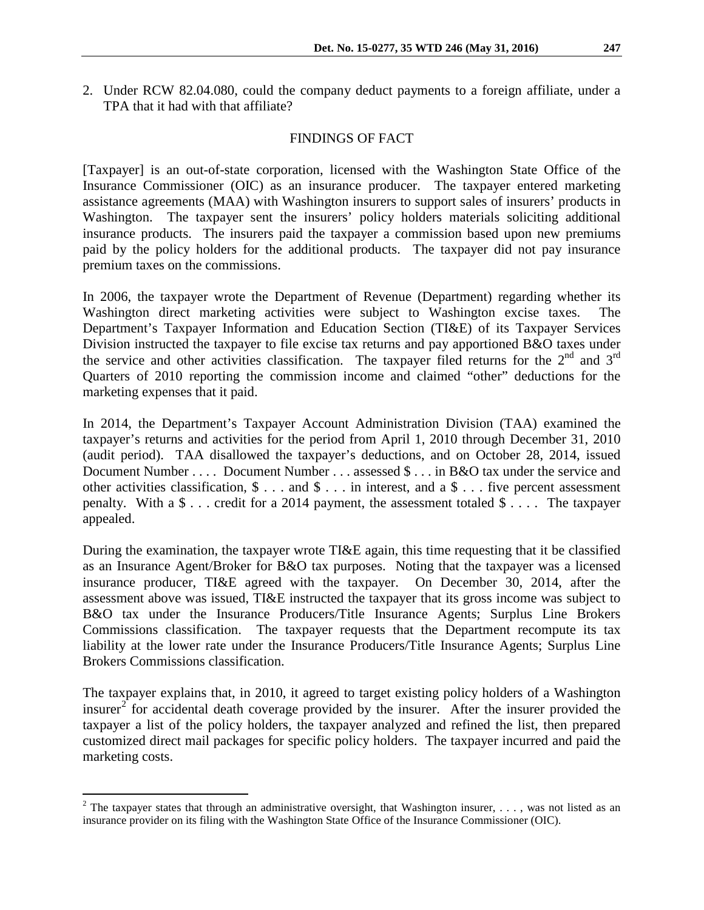2. Under RCW 82.04.080, could the company deduct payments to a foreign affiliate, under a TPA that it had with that affiliate?

### FINDINGS OF FACT

[Taxpayer] is an out-of-state corporation, licensed with the Washington State Office of the Insurance Commissioner (OIC) as an insurance producer. The taxpayer entered marketing assistance agreements (MAA) with Washington insurers to support sales of insurers' products in Washington. The taxpayer sent the insurers' policy holders materials soliciting additional insurance products. The insurers paid the taxpayer a commission based upon new premiums paid by the policy holders for the additional products. The taxpayer did not pay insurance premium taxes on the commissions.

In 2006, the taxpayer wrote the Department of Revenue (Department) regarding whether its Washington direct marketing activities were subject to Washington excise taxes. Department's Taxpayer Information and Education Section (TI&E) of its Taxpayer Services Division instructed the taxpayer to file excise tax returns and pay apportioned B&O taxes under the service and other activities classification. The taxpayer filed returns for the  $2<sup>nd</sup>$  and  $3<sup>rd</sup>$ Quarters of 2010 reporting the commission income and claimed "other" deductions for the marketing expenses that it paid.

In 2014, the Department's Taxpayer Account Administration Division (TAA) examined the taxpayer's returns and activities for the period from April 1, 2010 through December 31, 2010 (audit period). TAA disallowed the taxpayer's deductions, and on October 28, 2014, issued Document Number . . . . Document Number . . . assessed \$ . . . in B&O tax under the service and other activities classification, \$ . . . and \$ . . . in interest, and a \$ . . . five percent assessment penalty. With a  $\$\ldots$  credit for a 2014 payment, the assessment totaled  $\$\ldots$ . The taxpayer appealed.

During the examination, the taxpayer wrote TI&E again, this time requesting that it be classified as an Insurance Agent/Broker for B&O tax purposes. Noting that the taxpayer was a licensed insurance producer, TI&E agreed with the taxpayer. On December 30, 2014, after the assessment above was issued, TI&E instructed the taxpayer that its gross income was subject to B&O tax under the Insurance Producers/Title Insurance Agents; Surplus Line Brokers Commissions classification. The taxpayer requests that the Department recompute its tax liability at the lower rate under the Insurance Producers/Title Insurance Agents; Surplus Line Brokers Commissions classification.

The taxpayer explains that, in 2010, it agreed to target existing policy holders of a Washington insurer<sup>[2](#page-1-0)</sup> for accidental death coverage provided by the insurer. After the insurer provided the taxpayer a list of the policy holders, the taxpayer analyzed and refined the list, then prepared customized direct mail packages for specific policy holders. The taxpayer incurred and paid the marketing costs.

<span id="page-1-0"></span><sup>&</sup>lt;sup>2</sup> The taxpayer states that through an administrative oversight, that Washington insurer, ..., was not listed as an insurance provider on its filing with the Washington State Office of the Insurance Commissioner (OIC).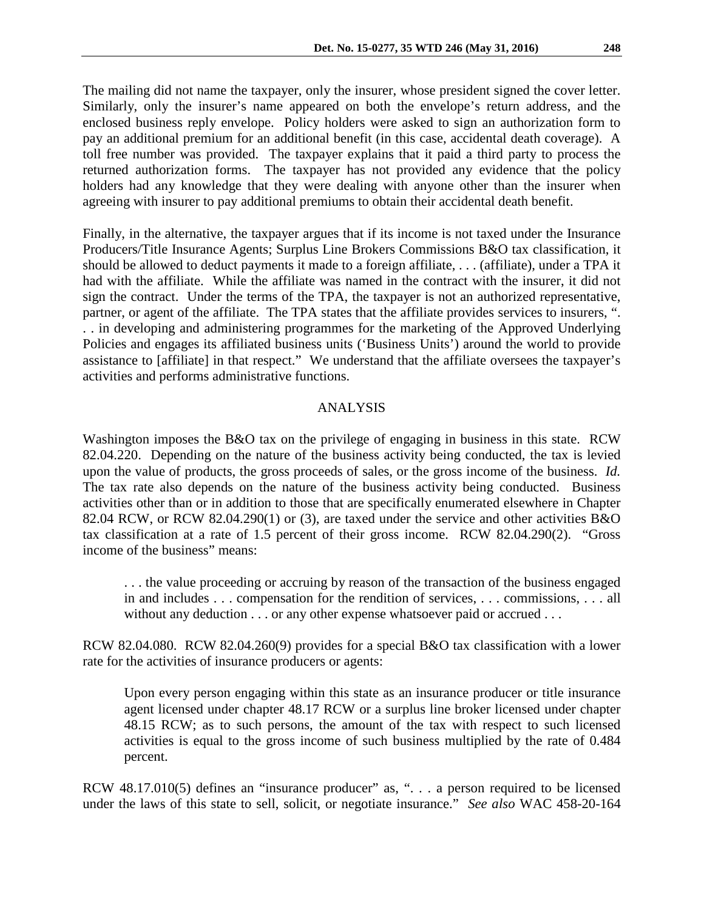The mailing did not name the taxpayer, only the insurer, whose president signed the cover letter. Similarly, only the insurer's name appeared on both the envelope's return address, and the enclosed business reply envelope. Policy holders were asked to sign an authorization form to pay an additional premium for an additional benefit (in this case, accidental death coverage). A toll free number was provided. The taxpayer explains that it paid a third party to process the returned authorization forms. The taxpayer has not provided any evidence that the policy holders had any knowledge that they were dealing with anyone other than the insurer when agreeing with insurer to pay additional premiums to obtain their accidental death benefit.

Finally, in the alternative, the taxpayer argues that if its income is not taxed under the Insurance Producers/Title Insurance Agents; Surplus Line Brokers Commissions B&O tax classification, it should be allowed to deduct payments it made to a foreign affiliate, . . . (affiliate), under a TPA it had with the affiliate. While the affiliate was named in the contract with the insurer, it did not sign the contract. Under the terms of the TPA, the taxpayer is not an authorized representative, partner, or agent of the affiliate. The TPA states that the affiliate provides services to insurers, ". . . in developing and administering programmes for the marketing of the Approved Underlying Policies and engages its affiliated business units ('Business Units') around the world to provide assistance to [affiliate] in that respect." We understand that the affiliate oversees the taxpayer's activities and performs administrative functions.

### ANALYSIS

Washington imposes the B&O tax on the privilege of engaging in business in this state. RCW 82.04.220. Depending on the nature of the business activity being conducted, the tax is levied upon the value of products, the gross proceeds of sales, or the gross income of the business. *Id.* The tax rate also depends on the nature of the business activity being conducted. Business activities other than or in addition to those that are specifically enumerated elsewhere in Chapter 82.04 RCW, or RCW 82.04.290(1) or (3), are taxed under the service and other activities B&O tax classification at a rate of 1.5 percent of their gross income. RCW 82.04.290(2). "Gross income of the business" means:

. . . the value proceeding or accruing by reason of the transaction of the business engaged in and includes . . . compensation for the rendition of services, . . . commissions, . . . all without any deduction . . . or any other expense whatsoever paid or accrued . . .

RCW 82.04.080. RCW 82.04.260(9) provides for a special B&O tax classification with a lower rate for the activities of insurance producers or agents:

Upon every person engaging within this state as an insurance producer or title insurance agent licensed under chapter 48.17 RCW or a surplus line broker licensed under chapter 48.15 RCW; as to such persons, the amount of the tax with respect to such licensed activities is equal to the gross income of such business multiplied by the rate of 0.484 percent.

RCW 48.17.010(5) defines an "insurance producer" as, ". . . a person required to be licensed under the laws of this state to sell, solicit, or negotiate insurance." *See also* WAC 458-20-164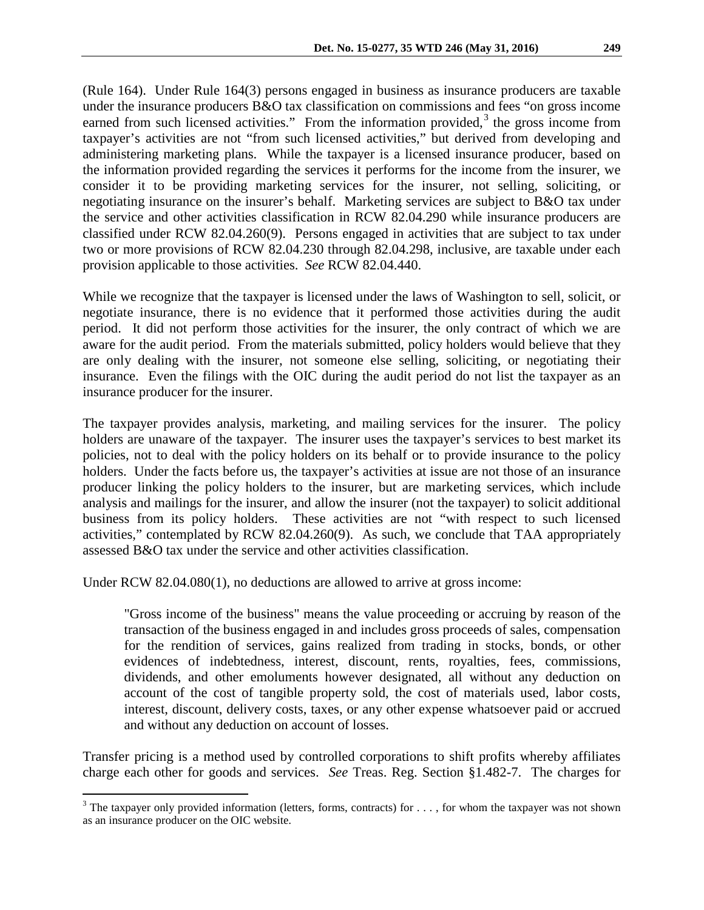(Rule 164). Under Rule 164(3) persons engaged in business as insurance producers are taxable under the insurance producers B&O tax classification on commissions and fees "on gross income earned from such licensed activities." From the information provided, $3$  the gross income from taxpayer's activities are not "from such licensed activities," but derived from developing and administering marketing plans. While the taxpayer is a licensed insurance producer, based on the information provided regarding the services it performs for the income from the insurer, we consider it to be providing marketing services for the insurer, not selling, soliciting, or negotiating insurance on the insurer's behalf. Marketing services are subject to B&O tax under the service and other activities classification in RCW 82.04.290 while insurance producers are classified under RCW 82.04.260(9). Persons engaged in activities that are subject to tax under two or more provisions of RCW 82.04.230 through 82.04.298, inclusive, are taxable under each provision applicable to those activities. *See* RCW 82.04.440.

While we recognize that the taxpayer is licensed under the laws of Washington to sell, solicit, or negotiate insurance, there is no evidence that it performed those activities during the audit period. It did not perform those activities for the insurer, the only contract of which we are aware for the audit period. From the materials submitted, policy holders would believe that they are only dealing with the insurer, not someone else selling, soliciting, or negotiating their insurance. Even the filings with the OIC during the audit period do not list the taxpayer as an insurance producer for the insurer.

The taxpayer provides analysis, marketing, and mailing services for the insurer. The policy holders are unaware of the taxpayer. The insurer uses the taxpayer's services to best market its policies, not to deal with the policy holders on its behalf or to provide insurance to the policy holders. Under the facts before us, the taxpayer's activities at issue are not those of an insurance producer linking the policy holders to the insurer, but are marketing services, which include analysis and mailings for the insurer, and allow the insurer (not the taxpayer) to solicit additional business from its policy holders. These activities are not "with respect to such licensed activities," contemplated by RCW 82.04.260(9). As such, we conclude that TAA appropriately assessed B&O tax under the service and other activities classification.

Under RCW 82.04.080(1), no deductions are allowed to arrive at gross income:

"Gross income of the business" means the value proceeding or accruing by reason of the transaction of the business engaged in and includes gross proceeds of sales, compensation for the rendition of services, gains realized from trading in stocks, bonds, or other evidences of indebtedness, interest, discount, rents, royalties, fees, commissions, dividends, and other emoluments however designated, all without any deduction on account of the cost of tangible property sold, the cost of materials used, labor costs, interest, discount, delivery costs, taxes, or any other expense whatsoever paid or accrued and without any deduction on account of losses.

Transfer pricing is a method used by controlled corporations to shift profits whereby affiliates charge each other for goods and services. *See* Treas. Reg. Section §1.482-7. The charges for

<span id="page-3-0"></span> $3$  The taxpayer only provided information (letters, forms, contracts) for ..., for whom the taxpayer was not shown as an insurance producer on the OIC website.